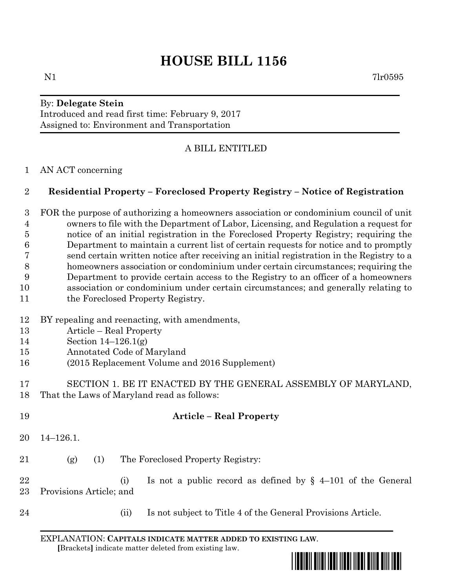# **HOUSE BILL 1156**

#### By: **Delegate Stein** Introduced and read first time: February 9, 2017 Assigned to: Environment and Transportation

## A BILL ENTITLED

#### AN ACT concerning

### **Residential Property – Foreclosed Property Registry – Notice of Registration**

 FOR the purpose of authorizing a homeowners association or condominium council of unit owners to file with the Department of Labor, Licensing, and Regulation a request for notice of an initial registration in the Foreclosed Property Registry; requiring the Department to maintain a current list of certain requests for notice and to promptly send certain written notice after receiving an initial registration in the Registry to a homeowners association or condominium under certain circumstances; requiring the Department to provide certain access to the Registry to an officer of a homeowners association or condominium under certain circumstances; and generally relating to 11 the Foreclosed Property Registry.

#### BY repealing and reenacting, with amendments,

- Article Real Property
- Section 14–126.1(g)
- Annotated Code of Maryland
- (2015 Replacement Volume and 2016 Supplement)
- SECTION 1. BE IT ENACTED BY THE GENERAL ASSEMBLY OF MARYLAND, That the Laws of Maryland read as follows:
- **Article – Real Property** 14–126.1. (g) (1) The Foreclosed Property Registry: (i) Is not a public record as defined by § 4–101 of the General Provisions Article; and
- (ii) Is not subject to Title 4 of the General Provisions Article.

EXPLANATION: **CAPITALS INDICATE MATTER ADDED TO EXISTING LAW**.  **[**Brackets**]** indicate matter deleted from existing law.

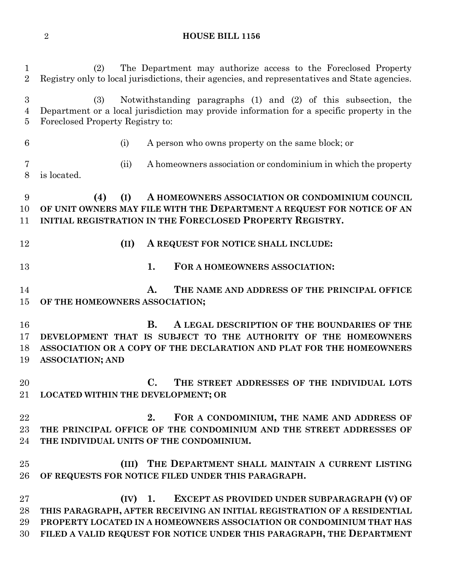**HOUSE BILL 1156**

 (2) The Department may authorize access to the Foreclosed Property Registry only to local jurisdictions, their agencies, and representatives and State agencies. (3) Notwithstanding paragraphs (1) and (2) of this subsection, the Department or a local jurisdiction may provide information for a specific property in the Foreclosed Property Registry to: (i) A person who owns property on the same block; or (ii) A homeowners association or condominium in which the property is located. **(4) (I) A HOMEOWNERS ASSOCIATION OR CONDOMINIUM COUNCIL OF UNIT OWNERS MAY FILE WITH THE DEPARTMENT A REQUEST FOR NOTICE OF AN INITIAL REGISTRATION IN THE FORECLOSED PROPERTY REGISTRY. (II) A REQUEST FOR NOTICE SHALL INCLUDE: 1. FOR A HOMEOWNERS ASSOCIATION: A. THE NAME AND ADDRESS OF THE PRINCIPAL OFFICE OF THE HOMEOWNERS ASSOCIATION; B. A LEGAL DESCRIPTION OF THE BOUNDARIES OF THE DEVELOPMENT THAT IS SUBJECT TO THE AUTHORITY OF THE HOMEOWNERS ASSOCIATION OR A COPY OF THE DECLARATION AND PLAT FOR THE HOMEOWNERS ASSOCIATION; AND C. THE STREET ADDRESSES OF THE INDIVIDUAL LOTS LOCATED WITHIN THE DEVELOPMENT; OR 2. FOR A CONDOMINIUM, THE NAME AND ADDRESS OF THE PRINCIPAL OFFICE OF THE CONDOMINIUM AND THE STREET ADDRESSES OF THE INDIVIDUAL UNITS OF THE CONDOMINIUM. (III) THE DEPARTMENT SHALL MAINTAIN A CURRENT LISTING OF REQUESTS FOR NOTICE FILED UNDER THIS PARAGRAPH. (IV) 1. EXCEPT AS PROVIDED UNDER SUBPARAGRAPH (V) OF THIS PARAGRAPH, AFTER RECEIVING AN INITIAL REGISTRATION OF A RESIDENTIAL PROPERTY LOCATED IN A HOMEOWNERS ASSOCIATION OR CONDOMINIUM THAT HAS FILED A VALID REQUEST FOR NOTICE UNDER THIS PARAGRAPH, THE DEPARTMENT**